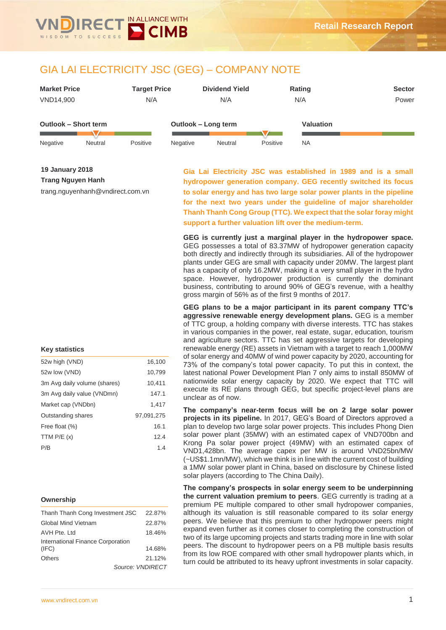

# GIA LAI ELECTRICITY JSC (GEG) – COMPANY NOTE

| <b>Market Price</b>  |         | <b>Target Price</b> |          | <b>Dividend Yield</b> |          | Rating           | <b>Sector</b> |
|----------------------|---------|---------------------|----------|-----------------------|----------|------------------|---------------|
| VND14.900            |         | N/A                 |          | N/A                   |          | N/A              | Power         |
|                      |         |                     |          |                       |          |                  |               |
| Outlook - Short term |         |                     |          | Outlook - Long term   |          | <b>Valuation</b> |               |
|                      |         |                     |          |                       |          |                  |               |
| Negative             | Neutral | Positive            | Negative | Neutral               | Positive | <b>NA</b>        |               |

**19 January 2018**

**Trang Nguyen Hanh**

trang.nguyenhanh@vndirect.com.vn

**Gia Lai Electricity JSC was established in 1989 and is a small hydropower generation company. GEG recently switched its focus to solar energy and has two large solar power plants in the pipeline for the next two years under the guideline of major shareholder Thanh Thanh Cong Group (TTC). We expect that the solar foray might support a further valuation lift over the medium-term.** 

**GEG is currently just a marginal player in the hydropower space.**  GEG possesses a total of 83.37MW of hydropower generation capacity both directly and indirectly through its subsidiaries. All of the hydropower plants under GEG are small with capacity under 20MW. The largest plant has a capacity of only 16.2MW, making it a very small player in the hydro space. However, hydropower production is currently the dominant business, contributing to around 90% of GEG's revenue, with a healthy gross margin of 56% as of the first 9 months of 2017.

**GEG plans to be a major participant in its parent company TTC's aggressive renewable energy development plans.** GEG is a member of TTC group, a holding company with diverse interests. TTC has stakes in various companies in the power, real estate, sugar, education, tourism and agriculture sectors. TTC has set aggressive targets for developing renewable energy (RE) assets in Vietnam with a target to reach 1,000MW of solar energy and 40MW of wind power capacity by 2020, accounting for 73% of the company's total power capacity. To put this in context, the latest national Power Development Plan 7 only aims to install 850MW of nationwide solar energy capacity by 2020. We expect that TTC will execute its RE plans through GEG, but specific project-level plans are unclear as of now.

**The company's near-term focus will be on 2 large solar power projects in its pipeline.** In 2017, GEG's Board of Directors approved a plan to develop two large solar power projects. This includes Phong Dien solar power plant (35MW) with an estimated capex of VND700bn and Krong Pa solar power project (49MW) with an estimated capex of VND1,428bn. The average capex per MW is around VND25bn/MW (~US\$1.1mn/MW), which we think is in line with the current cost of building a 1MW solar power plant in China, based on disclosure by Chinese listed solar players (according to The China Daily).

**The company's prospects in solar energy seem to be underpinning the current valuation premium to peers**. GEG currently is trading at a premium PE multiple compared to other small hydropower companies, although its valuation is still reasonable compared to its solar energy peers. We believe that this premium to other hydropower peers might expand even further as it comes closer to completing the construction of two of its large upcoming projects and starts trading more in line with solar peers. The discount to hydropower peers on a PB multiple basis results from its low ROE compared with other small hydropower plants which, in turn could be attributed to its heavy upfront investments in solar capacity.

### **Key statistics**

| 16,100     |
|------------|
| 10,799     |
| 10,411     |
| 147.1      |
| 1,417      |
| 97,091,275 |
| 16.1       |
| 12.4       |
| 1.4        |
|            |

#### **Ownership**

| Thanh Thanh Cong Investment JSC   | 22.87%           |
|-----------------------------------|------------------|
| Global Mind Vietnam               | 22.87%           |
| AVH Pte. Ltd                      | 18.46%           |
| International Finance Corporation |                  |
| (IFC)                             | 14.68%           |
| <b>Others</b>                     | 21.12%           |
|                                   | Source: VNDIRECT |
|                                   |                  |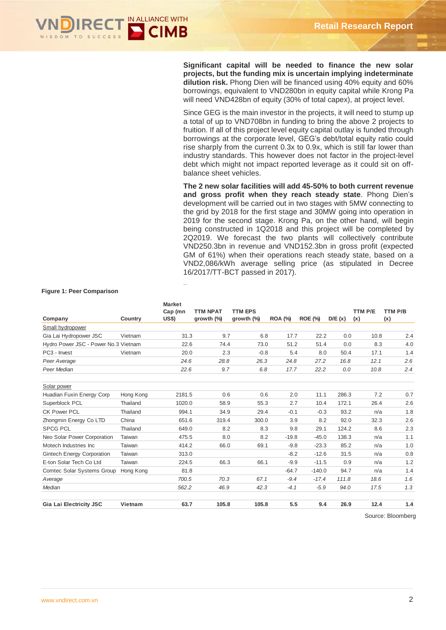

**Significant capital will be needed to finance the new solar projects, but the funding mix is uncertain implying indeterminate dilution risk.** Phong Dien will be financed using 40% equity and 60% borrowings, equivalent to VND280bn in equity capital while Krong Pa will need VND428bn of equity (30% of total capex), at project level.

Since GEG is the main investor in the projects, it will need to stump up a total of up to VND708bn in funding to bring the above 2 projects to fruition. If all of this project level equity capital outlay is funded through borrowings at the corporate level, GEG's debt/total equity ratio could rise sharply from the current 0.3x to 0.9x, which is still far lower than industry standards. This however does not factor in the project-level debt which might not impact reported leverage as it could sit on offbalance sheet vehicles.

**The 2 new solar facilities will add 45-50% to both current revenue and gross profit when they reach steady state**. Phong Dien's development will be carried out in two stages with 5MW connecting to the grid by 2018 for the first stage and 30MW going into operation in 2019 for the second stage. Krong Pa, on the other hand, will begin being constructed in 1Q2018 and this project will be completed by 2Q2019. We forecast the two plants will collectively contribute VND250.3bn in revenue and VND152.3bn in gross profit (expected GM of 61%) when their operations reach steady state, based on a VND2,086/kWh average selling price (as stipulated in Decree 16/2017/TT-BCT passed in 2017).

|                                      |           | <b>Market</b><br>Cap (mn | <b>TTM NPAT</b> | <b>TTM EPS</b> |                |                |        | <b>TTM P/E</b> | TTM P/B |
|--------------------------------------|-----------|--------------------------|-----------------|----------------|----------------|----------------|--------|----------------|---------|
| Company                              | Country   | <b>US\$)</b>             | growth $(\%)$   | growth $(\%)$  | <b>ROA (%)</b> | <b>ROE (%)</b> | D/E(x) | (x)            | (x)     |
| Small hydropower                     |           |                          |                 |                |                |                |        |                |         |
| Gia Lai Hydropower JSC               | Vietnam   | 31.3                     | 9.7             | 6.8            | 17.7           | 22.2           | 0.0    | 10.8           | 2.4     |
| Hydro Power JSC - Power No.3 Vietnam |           | 22.6                     | 74.4            | 73.0           | 51.2           | 51.4           | 0.0    | 8.3            | 4.0     |
| PC3 - Invest                         | Vietnam   | 20.0                     | 2.3             | $-0.8$         | 5.4            | 8.0            | 50.4   | 17.1           | 1.4     |
| Peer Average                         |           | 24.6                     | 28.8            | 26.3           | 24.8           | 27.2           | 16.8   | 12.1           | 2.6     |
| Peer Median                          |           | 22.6                     | 9.7             | 6.8            | 17.7           | 22.2           | 0.0    | 10.8           | 2.4     |
| Solar power                          |           |                          |                 |                |                |                |        |                |         |
| Huadian Fuxin Energy Corp            | Hong Kong | 2181.5                   | 0.6             | 0.6            | 2.0            | 11.1           | 286.3  | 7.2            | 0.7     |
| Superblock PCL                       | Thailand  | 1020.0                   | 58.9            | 55.3           | 2.7            | 10.4           | 172.1  | 26.4           | 2.6     |
| <b>CK Power PCL</b>                  | Thailand  | 994.1                    | 34.9            | 29.4           | $-0.1$         | $-0.3$         | 93.2   | n/a            | 1.8     |
| Zhongmin Energy Co LTD               | China     | 651.6                    | 319.4           | 300.0          | 3.9            | 8.2            | 92.0   | 32.3           | 2.6     |
| <b>SPCG PCL</b>                      | Thailand  | 649.0                    | 8.2             | 8.3            | 9.8            | 29.1           | 124.2  | 8.6            | 2.3     |
| Neo Solar Power Corporation          | Taiwan    | 475.5                    | 8.0             | 8.2            | $-19.8$        | $-45.0$        | 138.3  | n/a            | 1.1     |
| Motech Industries Inc.               | Taiwan    | 414.2                    | 66.0            | 69.1           | $-9.8$         | $-23.3$        | 85.2   | n/a            | 1.0     |
| <b>Gintech Energy Corporation</b>    | Taiwan    | 313.0                    |                 |                | $-8.2$         | $-12.6$        | 31.5   | n/a            | 0.8     |
| E-ton Solar Tech Co Ltd              | Taiwan    | 224.5                    | 66.3            | 66.1           | $-9.9$         | $-11.5$        | 0.9    | n/a            | 1.2     |
| <b>Comtec Solar Systems Group</b>    | Hong Kong | 81.8                     |                 |                | $-64.7$        | $-140.0$       | 94.7   | n/a            | 1.4     |
| Average                              |           | 700.5                    | 70.3            | 67.1           | $-9.4$         | $-17.4$        | 111.8  | 18.6           | 1.6     |
| Median                               |           | 562.2                    | 46.9            | 42.3           | $-4.1$         | $-5.9$         | 94.0   | 17.5           | 1.3     |
| <b>Gia Lai Electricity JSC</b>       | Vietnam   | 63.7                     | 105.8           | 105.8          | 5.5            | 9.4            | 26.9   | 12.4           | 1.4     |

#### **Figure 1: Peer Comparison**

Source: Bloomberg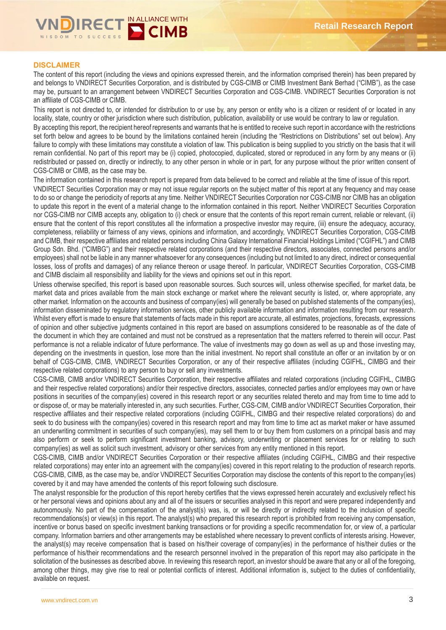

# **DISCLAIMER**

The content of this report (including the views and opinions expressed therein, and the information comprised therein) has been prepared by and belongs to VNDIRECT Securities Corporation, and is distributed by CGS-CIMB or CIMB Investment Bank Berhad ("CIMB"), as the case may be, pursuant to an arrangement between VNDIRECT Securities Corporation and CGS-CIMB. VNDIRECT Securities Corporation is not an affiliate of CGS-CIMB or CIMB.

This report is not directed to, or intended for distribution to or use by, any person or entity who is a citizen or resident of or located in any locality, state, country or other jurisdiction where such distribution, publication, availability or use would be contrary to law or regulation.

By accepting this report, the recipient hereof represents and warrants that he is entitled to receive such report in accordance with the restrictions set forth below and agrees to be bound by the limitations contained herein (including the "Restrictions on Distributions" set out below). Any failure to comply with these limitations may constitute a violation of law. This publication is being supplied to you strictly on the basis that it will remain confidential. No part of this report may be (i) copied, photocopied, duplicated, stored or reproduced in any form by any means or (ii) redistributed or passed on, directly or indirectly, to any other person in whole or in part, for any purpose without the prior written consent of CGS-CIMB or CIMB, as the case may be.

The information contained in this research report is prepared from data believed to be correct and reliable at the time of issue of this report.

VNDIRECT Securities Corporation may or may not issue regular reports on the subject matter of this report at any frequency and may cease to do so or change the periodicity of reports at any time. Neither VNDIRECT Securities Corporation nor CGS-CIMB nor CIMB has an obligation to update this report in the event of a material change to the information contained in this report. Neither VNDIRECT Securities Corporation nor CGS-CIMB nor CIMB accepts any, obligation to (i) check or ensure that the contents of this report remain current, reliable or relevant, (ii) ensure that the content of this report constitutes all the information a prospective investor may require, (iii) ensure the adequacy, accuracy, completeness, reliability or fairness of any views, opinions and information, and accordingly, VNDIRECT Securities Corporation, CGS-CIMB and CIMB, their respective affiliates and related persons including China Galaxy International Financial Holdings Limited ("CGIFHL") and CIMB Group Sdn. Bhd. ("CIMBG") and their respective related corporations (and their respective directors, associates, connected persons and/or employees) shall not be liable in any manner whatsoever for any consequences (including but not limited to any direct, indirect or consequential losses, loss of profits and damages) of any reliance thereon or usage thereof. In particular, VNDIRECT Securities Corporation, CGS-CIMB and CIMB disclaim all responsibility and liability for the views and opinions set out in this report.

Unless otherwise specified, this report is based upon reasonable sources. Such sources will, unless otherwise specified, for market data, be market data and prices available from the main stock exchange or market where the relevant security is listed, or, where appropriate, any other market. Information on the accounts and business of company(ies) will generally be based on published statements of the company(ies), information disseminated by regulatory information services, other publicly available information and information resulting from our research. Whilst every effort is made to ensure that statements of facts made in this report are accurate, all estimates, projections, forecasts, expressions of opinion and other subjective judgments contained in this report are based on assumptions considered to be reasonable as of the date of the document in which they are contained and must not be construed as a representation that the matters referred to therein will occur. Past performance is not a reliable indicator of future performance. The value of investments may go down as well as up and those investing may, depending on the investments in question, lose more than the initial investment. No report shall constitute an offer or an invitation by or on behalf of CGS-CIMB, CIMB, VNDIRECT Securities Corporation, or any of their respective affiliates (including CGIFHL, CIMBG and their respective related corporations) to any person to buy or sell any investments.

CGS-CIMB, CIMB and/or VNDIRECT Securities Corporation, their respective affiliates and related corporations (including CGIFHL, CIMBG and their respective related corporations) and/or their respective directors, associates, connected parties and/or employees may own or have positions in securities of the company(ies) covered in this research report or any securities related thereto and may from time to time add to or dispose of, or may be materially interested in, any such securities. Further, CGS-CIM, CIMB and/or VNDIRECT Securities Corporation, their respective affiliates and their respective related corporations (including CGIFHL, CIMBG and their respective related corporations) do and seek to do business with the company(ies) covered in this research report and may from time to time act as market maker or have assumed an underwriting commitment in securities of such company(ies), may sell them to or buy them from customers on a principal basis and may also perform or seek to perform significant investment banking, advisory, underwriting or placement services for or relating to such company(ies) as well as solicit such investment, advisory or other services from any entity mentioned in this report.

CGS-CIMB, CIMB and/or VNDIRECT Securities Corporation or their respective affiliates (including CGIFHL, CIMBG and their respective related corporations) may enter into an agreement with the company(ies) covered in this report relating to the production of research reports. CGS-CIMB, CIMB, as the case may be, and/or VNDIRECT Securities Corporation may disclose the contents of this report to the company(ies) covered by it and may have amended the contents of this report following such disclosure.

The analyst responsible for the production of this report hereby certifies that the views expressed herein accurately and exclusively reflect his or her personal views and opinions about any and all of the issuers or securities analysed in this report and were prepared independently and autonomously. No part of the compensation of the analyst(s) was, is, or will be directly or indirectly related to the inclusion of specific recommendations(s) or view(s) in this report. The analyst(s) who prepared this research report is prohibited from receiving any compensation, incentive or bonus based on specific investment banking transactions or for providing a specific recommendation for, or view of, a particular company. Information barriers and other arrangements may be established where necessary to prevent conflicts of interests arising. However, the analyst(s) may receive compensation that is based on his/their coverage of company(ies) in the performance of his/their duties or the performance of his/their recommendations and the research personnel involved in the preparation of this report may also participate in the solicitation of the businesses as described above. In reviewing this research report, an investor should be aware that any or all of the foregoing, among other things, may give rise to real or potential conflicts of interest. Additional information is, subject to the duties of confidentiality, available on request.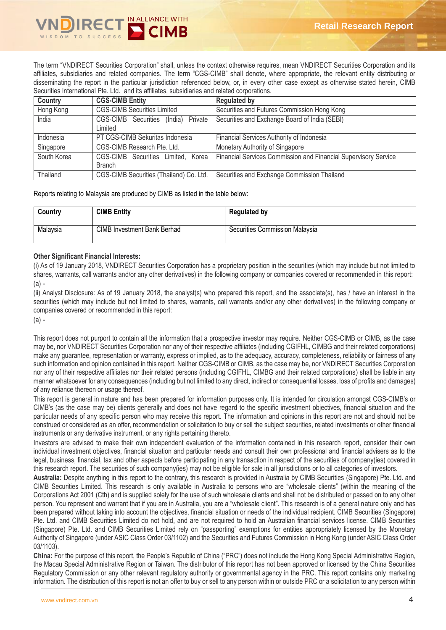

The term "VNDIRECT Securities Corporation" shall, unless the context otherwise requires, mean VNDIRECT Securities Corporation and its affiliates, subsidiaries and related companies. The term "CGS-CIMB" shall denote, where appropriate, the relevant entity distributing or disseminating the report in the particular jurisdiction referenced below, or, in every other case except as otherwise stated herein, CIMB Securities International Pte. Ltd. and its affiliates, subsidiaries and related corporations.

| Country     | <b>CGS-CIMB Entity</b>                  | <b>Regulated by</b>                                             |
|-------------|-----------------------------------------|-----------------------------------------------------------------|
| Hong Kong   | <b>CGS-CIMB Securities Limited</b>      | Securities and Futures Commission Hong Kong                     |
| India       | Private<br>CGS-CIMB Securities (India)  | Securities and Exchange Board of India (SEBI)                   |
|             | Limited                                 |                                                                 |
| Indonesia   | PT CGS-CIMB Sekuritas Indonesia         | Financial Services Authority of Indonesia                       |
| Singapore   | CGS-CIMB Research Pte. Ltd.             | Monetary Authority of Singapore                                 |
| South Korea | CGS-CIMB Securities Limited, Korea      | Financial Services Commission and Financial Supervisory Service |
|             | <b>Branch</b>                           |                                                                 |
| Thailand    | CGS-CIMB Securities (Thailand) Co. Ltd. | Securities and Exchange Commission Thailand                     |

Reports relating to Malaysia are produced by CIMB as listed in the table below:

| Country  | <b>CIMB Entity</b>          | <b>Regulated by</b>            |
|----------|-----------------------------|--------------------------------|
| Malaysia | CIMB Investment Bank Berhad | Securities Commission Malaysia |

# **Other Significant Financial Interests:**

(i) As of 19 January 2018, VNDIRECT Securities Corporation has a proprietary position in the securities (which may include but not limited to shares, warrants, call warrants and/or any other derivatives) in the following company or companies covered or recommended in this report:  $(a)$  -

(ii) Analyst Disclosure: As of 19 January 2018, the analyst(s) who prepared this report, and the associate(s), has / have an interest in the securities (which may include but not limited to shares, warrants, call warrants and/or any other derivatives) in the following company or companies covered or recommended in this report:

(a) -

This report does not purport to contain all the information that a prospective investor may require. Neither CGS-CIMB or CIMB, as the case may be, nor VNDIRECT Securities Corporation nor any of their respective affiliates (including CGIFHL, CIMBG and their related corporations) make any guarantee, representation or warranty, express or implied, as to the adequacy, accuracy, completeness, reliability or fairness of any such information and opinion contained in this report. Neither CGS-CIMB or CIMB, as the case may be, nor VNDIRECT Securities Corporation nor any of their respective affiliates nor their related persons (including CGIFHL, CIMBG and their related corporations) shall be liable in any manner whatsoever for any consequences (including but not limited to any direct, indirect or consequential losses, loss of profits and damages) of any reliance thereon or usage thereof.

This report is general in nature and has been prepared for information purposes only. It is intended for circulation amongst CGS-CIMB's or CIMB's (as the case may be) clients generally and does not have regard to the specific investment objectives, financial situation and the particular needs of any specific person who may receive this report. The information and opinions in this report are not and should not be construed or considered as an offer, recommendation or solicitation to buy or sell the subject securities, related investments or other financial instruments or any derivative instrument, or any rights pertaining thereto.

Investors are advised to make their own independent evaluation of the information contained in this research report, consider their own individual investment objectives, financial situation and particular needs and consult their own professional and financial advisers as to the legal, business, financial, tax and other aspects before participating in any transaction in respect of the securities of company(ies) covered in this research report. The securities of such company(ies) may not be eligible for sale in all jurisdictions or to all categories of investors.

**Australia:** Despite anything in this report to the contrary, this research is provided in Australia by CIMB Securities (Singapore) Pte. Ltd. and CIMB Securities Limited. This research is only available in Australia to persons who are "wholesale clients" (within the meaning of the Corporations Act 2001 (Cth) and is supplied solely for the use of such wholesale clients and shall not be distributed or passed on to any other person. You represent and warrant that if you are in Australia, you are a "wholesale client". This research is of a general nature only and has been prepared without taking into account the objectives, financial situation or needs of the individual recipient. CIMB Securities (Singapore) Pte. Ltd. and CIMB Securities Limited do not hold, and are not required to hold an Australian financial services license. CIMB Securities (Singapore) Pte. Ltd. and CIMB Securities Limited rely on "passporting" exemptions for entities appropriately licensed by the Monetary Authority of Singapore (under ASIC Class Order 03/1102) and the Securities and Futures Commission in Hong Kong (under ASIC Class Order 03/1103).

**China:** For the purpose of this report, the People's Republic of China ("PRC") does not include the Hong Kong Special Administrative Region, the Macau Special Administrative Region or Taiwan. The distributor of this report has not been approved or licensed by the China Securities Regulatory Commission or any other relevant regulatory authority or governmental agency in the PRC. This report contains only marketing information. The distribution of this report is not an offer to buy or sell to any person within or outside PRC or a solicitation to any person within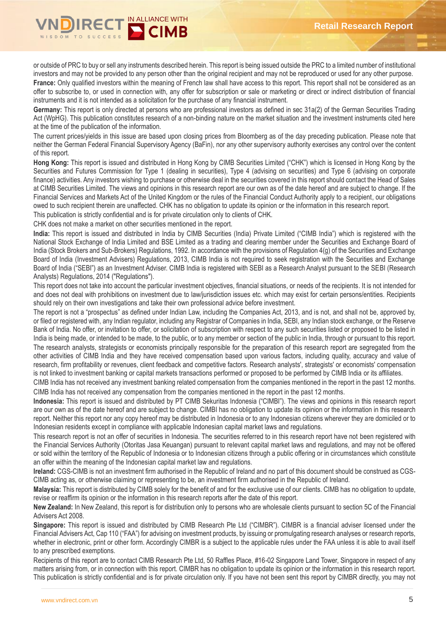

or outside of PRC to buy or sell any instruments described herein. This report is being issued outside the PRC to a limited number of institutional investors and may not be provided to any person other than the original recipient and may not be reproduced or used for any other purpose. France: Only qualified investors within the meaning of French law shall have access to this report. This report shall not be considered as an offer to subscribe to, or used in connection with, any offer for subscription or sale or marketing or direct or indirect distribution of financial instruments and it is not intended as a solicitation for the purchase of any financial instrument.

**Germany:** This report is only directed at persons who are professional investors as defined in sec 31a(2) of the German Securities Trading Act (WpHG). This publication constitutes research of a non-binding nature on the market situation and the investment instruments cited here at the time of the publication of the information.

The current prices/yields in this issue are based upon closing prices from Bloomberg as of the day preceding publication. Please note that neither the German Federal Financial Supervisory Agency (BaFin), nor any other supervisory authority exercises any control over the content of this report.

**Hong Kong:** This report is issued and distributed in Hong Kong by CIMB Securities Limited ("CHK") which is licensed in Hong Kong by the Securities and Futures Commission for Type 1 (dealing in securities), Type 4 (advising on securities) and Type 6 (advising on corporate finance) activities. Any investors wishing to purchase or otherwise deal in the securities covered in this report should contact the Head of Sales at CIMB Securities Limited. The views and opinions in this research report are our own as of the date hereof and are subject to change. If the Financial Services and Markets Act of the United Kingdom or the rules of the Financial Conduct Authority apply to a recipient, our obligations owed to such recipient therein are unaffected. CHK has no obligation to update its opinion or the information in this research report.

This publication is strictly confidential and is for private circulation only to clients of CHK.

CHK does not make a market on other securities mentioned in the report.

**India:** This report is issued and distributed in India by CIMB Securities (India) Private Limited ("CIMB India") which is registered with the National Stock Exchange of India Limited and BSE Limited as a trading and clearing member under the Securities and Exchange Board of India (Stock Brokers and Sub-Brokers) Regulations, 1992. In accordance with the provisions of Regulation 4(g) of the Securities and Exchange Board of India (Investment Advisers) Regulations, 2013, CIMB India is not required to seek registration with the Securities and Exchange Board of India ("SEBI") as an Investment Adviser. CIMB India is registered with SEBI as a Research Analyst pursuant to the SEBI (Research Analysts) Regulations, 2014 ("Regulations").

This report does not take into account the particular investment objectives, financial situations, or needs of the recipients. It is not intended for and does not deal with prohibitions on investment due to law/jurisdiction issues etc. which may exist for certain persons/entities. Recipients should rely on their own investigations and take their own professional advice before investment.

The report is not a "prospectus" as defined under Indian Law, including the Companies Act, 2013, and is not, and shall not be, approved by, or filed or registered with, any Indian regulator, including any Registrar of Companies in India, SEBI, any Indian stock exchange, or the Reserve Bank of India. No offer, or invitation to offer, or solicitation of subscription with respect to any such securities listed or proposed to be listed in India is being made, or intended to be made, to the public, or to any member or section of the public in India, through or pursuant to this report. The research analysts, strategists or economists principally responsible for the preparation of this research report are segregated from the other activities of CIMB India and they have received compensation based upon various factors, including quality, accuracy and value of research, firm profitability or revenues, client feedback and competitive factors. Research analysts', strategists' or economists' compensation is not linked to investment banking or capital markets transactions performed or proposed to be performed by CIMB India or its affiliates.

CIMB India has not received any investment banking related compensation from the companies mentioned in the report in the past 12 months. CIMB India has not received any compensation from the companies mentioned in the report in the past 12 months.

**Indonesia:** This report is issued and distributed by PT CIMB Sekuritas Indonesia ("CIMBI"). The views and opinions in this research report are our own as of the date hereof and are subject to change. CIMBI has no obligation to update its opinion or the information in this research report. Neither this report nor any copy hereof may be distributed in Indonesia or to any Indonesian citizens wherever they are domiciled or to Indonesian residents except in compliance with applicable Indonesian capital market laws and regulations.

This research report is not an offer of securities in Indonesia. The securities referred to in this research report have not been registered with the Financial Services Authority (Otoritas Jasa Keuangan) pursuant to relevant capital market laws and regulations, and may not be offered or sold within the territory of the Republic of Indonesia or to Indonesian citizens through a public offering or in circumstances which constitute an offer within the meaning of the Indonesian capital market law and regulations.

**Ireland:** CGS-CIMB is not an investment firm authorised in the Republic of Ireland and no part of this document should be construed as CGS-CIMB acting as, or otherwise claiming or representing to be, an investment firm authorised in the Republic of Ireland.

**Malaysia:** This report is distributed by CIMB solely for the benefit of and for the exclusive use of our clients. CIMB has no obligation to update, revise or reaffirm its opinion or the information in this research reports after the date of this report.

**New Zealand:** In New Zealand, this report is for distribution only to persons who are wholesale clients pursuant to section 5C of the Financial Advisers Act 2008.

**Singapore:** This report is issued and distributed by CIMB Research Pte Ltd ("CIMBR"). CIMBR is a financial adviser licensed under the Financial Advisers Act, Cap 110 ("FAA") for advising on investment products, by issuing or promulgating research analyses or research reports, whether in electronic, print or other form. Accordingly CIMBR is a subject to the applicable rules under the FAA unless it is able to avail itself to any prescribed exemptions.

Recipients of this report are to contact CIMB Research Pte Ltd, 50 Raffles Place, #16-02 Singapore Land Tower, Singapore in respect of any matters arising from, or in connection with this report. CIMBR has no obligation to update its opinion or the information in this research report. This publication is strictly confidential and is for private circulation only. If you have not been sent this report by CIMBR directly, you may not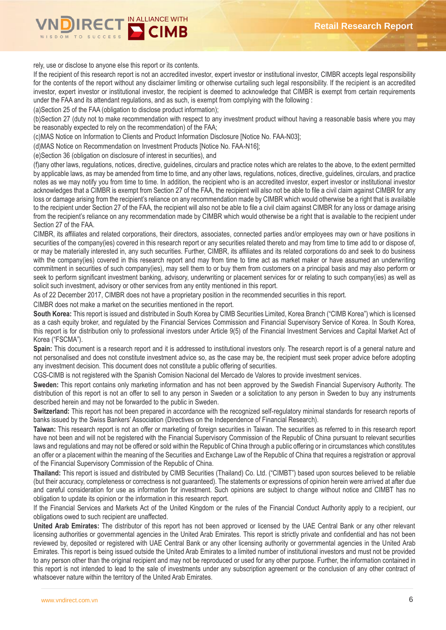

rely, use or disclose to anyone else this report or its contents.

If the recipient of this research report is not an accredited investor, expert investor or institutional investor, CIMBR accepts legal responsibility for the contents of the report without any disclaimer limiting or otherwise curtailing such legal responsibility. If the recipient is an accredited investor, expert investor or institutional investor, the recipient is deemed to acknowledge that CIMBR is exempt from certain requirements under the FAA and its attendant regulations, and as such, is exempt from complying with the following :

(a)Section 25 of the FAA (obligation to disclose product information);

(b)Section 27 (duty not to make recommendation with respect to any investment product without having a reasonable basis where you may be reasonably expected to rely on the recommendation) of the FAA;

(c)MAS Notice on Information to Clients and Product Information Disclosure [Notice No. FAA-N03];

(d)MAS Notice on Recommendation on Investment Products [Notice No. FAA-N16];

(e)Section 36 (obligation on disclosure of interest in securities), and

(f)any other laws, regulations, notices, directive, guidelines, circulars and practice notes which are relates to the above, to the extent permitted by applicable laws, as may be amended from time to time, and any other laws, regulations, notices, directive, guidelines, circulars, and practice notes as we may notify you from time to time. In addition, the recipient who is an accredited investor, expert investor or institutional investor acknowledges that a CIMBR is exempt from Section 27 of the FAA, the recipient will also not be able to file a civil claim against CIMBR for any loss or damage arising from the recipient's reliance on any recommendation made by CIMBR which would otherwise be a right that is available to the recipient under Section 27 of the FAA, the recipient will also not be able to file a civil claim against CIMBR for any loss or damage arising from the recipient's reliance on any recommendation made by CIMBR which would otherwise be a right that is available to the recipient under Section 27 of the FAA.

CIMBR, its affiliates and related corporations, their directors, associates, connected parties and/or employees may own or have positions in securities of the company(ies) covered in this research report or any securities related thereto and may from time to time add to or dispose of, or may be materially interested in, any such securities. Further, CIMBR, its affiliates and its related corporations do and seek to do business with the company(ies) covered in this research report and may from time to time act as market maker or have assumed an underwriting commitment in securities of such company(ies), may sell them to or buy them from customers on a principal basis and may also perform or seek to perform significant investment banking, advisory, underwriting or placement services for or relating to such company(ies) as well as solicit such investment, advisory or other services from any entity mentioned in this report.

As of 22 December 2017, CIMBR does not have a proprietary position in the recommended securities in this report.

CIMBR does not make a market on the securities mentioned in the report.

**South Korea:** This report is issued and distributed in South Korea by CIMB Securities Limited, Korea Branch ("CIMB Korea") which is licensed as a cash equity broker, and regulated by the Financial Services Commission and Financial Supervisory Service of Korea. In South Korea, this report is for distribution only to professional investors under Article 9(5) of the Financial Investment Services and Capital Market Act of Korea ("FSCMA").

**Spain:** This document is a research report and it is addressed to institutional investors only. The research report is of a general nature and not personalised and does not constitute investment advice so, as the case may be, the recipient must seek proper advice before adopting any investment decision. This document does not constitute a public offering of securities.

CGS-CIMB is not registered with the Spanish Comision Nacional del Mercado de Valores to provide investment services.

**Sweden:** This report contains only marketing information and has not been approved by the Swedish Financial Supervisory Authority. The distribution of this report is not an offer to sell to any person in Sweden or a solicitation to any person in Sweden to buy any instruments described herein and may not be forwarded to the public in Sweden.

**Switzerland:** This report has not been prepared in accordance with the recognized self-regulatory minimal standards for research reports of banks issued by the Swiss Bankers' Association (Directives on the Independence of Financial Research).

**Taiwan:** This research report is not an offer or marketing of foreign securities in Taiwan. The securities as referred to in this research report have not been and will not be registered with the Financial Supervisory Commission of the Republic of China pursuant to relevant securities laws and regulations and may not be offered or sold within the Republic of China through a public offering or in circumstances which constitutes an offer or a placement within the meaning of the Securities and Exchange Law of the Republic of China that requires a registration or approval of the Financial Supervisory Commission of the Republic of China.

**Thailand:** This report is issued and distributed by CIMB Securities (Thailand) Co. Ltd. ("CIMBT") based upon sources believed to be reliable (but their accuracy, completeness or correctness is not guaranteed). The statements or expressions of opinion herein were arrived at after due and careful consideration for use as information for investment. Such opinions are subject to change without notice and CIMBT has no obligation to update its opinion or the information in this research report.

If the Financial Services and Markets Act of the United Kingdom or the rules of the Financial Conduct Authority apply to a recipient, our obligations owed to such recipient are unaffected.

**United Arab Emirates:** The distributor of this report has not been approved or licensed by the UAE Central Bank or any other relevant licensing authorities or governmental agencies in the United Arab Emirates. This report is strictly private and confidential and has not been reviewed by, deposited or registered with UAE Central Bank or any other licensing authority or governmental agencies in the United Arab Emirates. This report is being issued outside the United Arab Emirates to a limited number of institutional investors and must not be provided to any person other than the original recipient and may not be reproduced or used for any other purpose. Further, the information contained in this report is not intended to lead to the sale of investments under any subscription agreement or the conclusion of any other contract of whatsoever nature within the territory of the United Arab Emirates.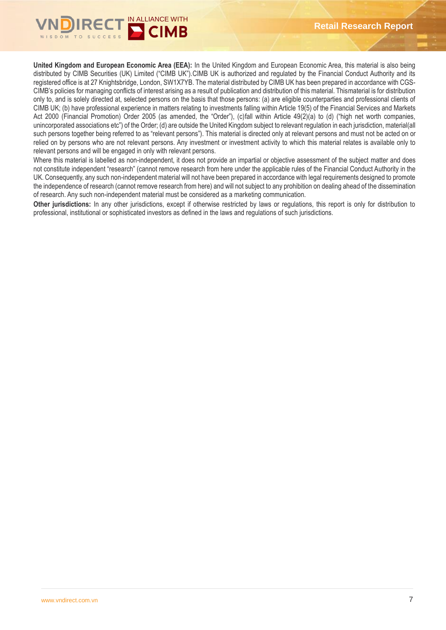

**United Kingdom and European Economic Area (EEA):** In the United Kingdom and European Economic Area, this material is also being distributed by CIMB Securities (UK) Limited ("CIMB UK").CIMB UK is authorized and regulated by the Financial Conduct Authority and its registered office is at 27 Knightsbridge, London, SW1X7YB. The material distributed by CIMB UK has been prepared in accordance with CGS-CIMB's policies for managing conflicts of interest arising as a result of publication and distribution of this material. Thismaterial is for distribution only to, and is solely directed at, selected persons on the basis that those persons: (a) are eligible counterparties and professional clients of CIMB UK; (b) have professional experience in matters relating to investments falling within Article 19(5) of the Financial Services and Markets Act 2000 (Financial Promotion) Order 2005 (as amended, the "Order"), (c)fall within Article 49(2)(a) to (d) ("high net worth companies, unincorporated associations etc") of the Order; (d) are outside the United Kingdom subject to relevant regulation in each jurisdiction, material(all such persons together being referred to as "relevant persons"). This material is directed only at relevant persons and must not be acted on or relied on by persons who are not relevant persons. Any investment or investment activity to which this material relates is available only to relevant persons and will be engaged in only with relevant persons.

Where this material is labelled as non-independent, it does not provide an impartial or objective assessment of the subject matter and does not constitute independent "research" (cannot remove research from here under the applicable rules of the Financial Conduct Authority in the UK. Consequently, any such non-independent material will not have been prepared in accordance with legal requirements designed to promote the independence of research (cannot remove research from here) and will not subject to any prohibition on dealing ahead of the dissemination of research. Any such non-independent material must be considered as a marketing communication.

**Other jurisdictions:** In any other jurisdictions, except if otherwise restricted by laws or regulations, this report is only for distribution to professional, institutional or sophisticated investors as defined in the laws and regulations of such jurisdictions.